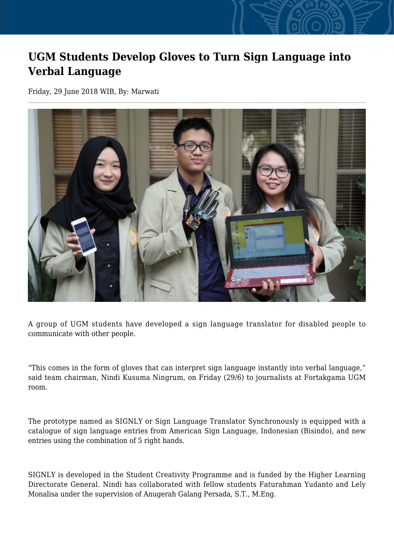## **UGM Students Develop Gloves to Turn Sign Language into Verbal Language**

Friday, 29 June 2018 WIB, By: Marwati



A group of UGM students have developed a sign language translator for disabled people to communicate with other people.

"This comes in the form of gloves that can interpret sign language instantly into verbal language," said team chairman, Nindi Kusuma Ningrum, on Friday (29/6) to journalists at Fortakgama UGM room.

The prototype named as SIGNLY or Sign Language Translator Synchronously is equipped with a catalogue of sign language entries from American Sign Language, Indonesian (Bisindo), and new entries using the combination of 5 right hands.

SIGNLY is developed in the Student Creativity Programme and is funded by the Higher Learning Directorate General. Nindi has collaborated with fellow students Faturahman Yudanto and Lely Monalisa under the supervision of Anugerah Galang Persada, S.T., M.Eng.